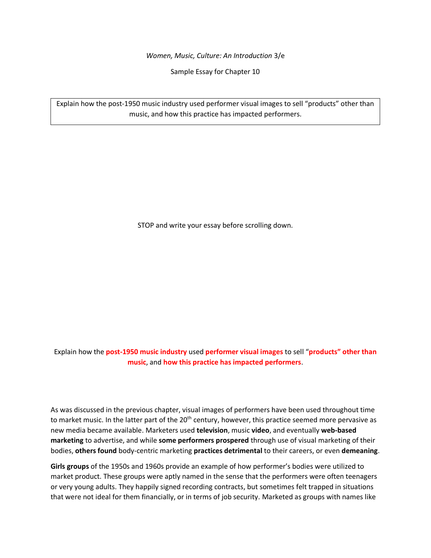*Women, Music, Culture: An Introduction* 3/e

Sample Essay for Chapter 10

Explain how the post-1950 music industry used performer visual images to sell "products" other than music, and how this practice has impacted performers.

STOP and write your essay before scrolling down.

Explain how the **post-1950 music industry** used **performer visual images** to sell "**products" other than music**, and **how this practice has impacted performers**.

As was discussed in the previous chapter, visual images of performers have been used throughout time to market music. In the latter part of the 20<sup>th</sup> century, however, this practice seemed more pervasive as new media became available. Marketers used **television**, music **video**, and eventually **web-based marketing** to advertise, and while **some performers prospered** through use of visual marketing of their bodies, **others found** body-centric marketing **practices detrimental** to their careers, or even **demeaning**.

**Girls groups** of the 1950s and 1960s provide an example of how performer's bodies were utilized to market product. These groups were aptly named in the sense that the performers were often teenagers or very young adults. They happily signed recording contracts, but sometimes felt trapped in situations that were not ideal for them financially, or in terms of job security. Marketed as groups with names like